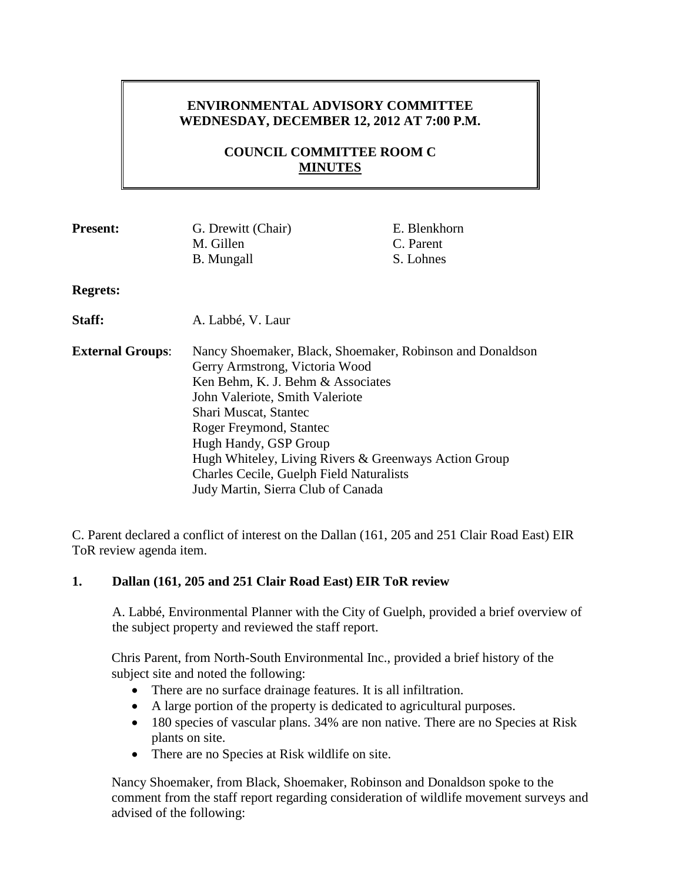# **ENVIRONMENTAL ADVISORY COMMITTEE WEDNESDAY, DECEMBER 12, 2012 AT 7:00 P.M.**

# **COUNCIL COMMITTEE ROOM C MINUTES**

| <b>Present:</b>         | G. Drewitt (Chair)                                        | E. Blenkhorn |
|-------------------------|-----------------------------------------------------------|--------------|
|                         | M. Gillen                                                 | C. Parent    |
|                         | <b>B.</b> Mungall                                         | S. Lohnes    |
| <b>Regrets:</b>         |                                                           |              |
| Staff:                  | A. Labbé, V. Laur                                         |              |
| <b>External Groups:</b> | Nancy Shoemaker, Black, Shoemaker, Robinson and Donaldson |              |
|                         | Gerry Armstrong, Victoria Wood                            |              |
|                         | Ken Behm, K. J. Behm & Associates                         |              |
|                         | John Valeriote, Smith Valeriote                           |              |
|                         | Shari Muscat, Stantec                                     |              |
|                         | Roger Freymond, Stantec                                   |              |
|                         | Hugh Handy, GSP Group                                     |              |
|                         | Hugh Whiteley, Living Rivers & Greenways Action Group     |              |
|                         | <b>Charles Cecile, Guelph Field Naturalists</b>           |              |
|                         | Judy Martin, Sierra Club of Canada                        |              |
|                         |                                                           |              |

C. Parent declared a conflict of interest on the Dallan (161, 205 and 251 Clair Road East) EIR ToR review agenda item.

#### **1. Dallan (161, 205 and 251 Clair Road East) EIR ToR review**

A. Labbé, Environmental Planner with the City of Guelph, provided a brief overview of the subject property and reviewed the staff report.

Chris Parent, from North-South Environmental Inc., provided a brief history of the subject site and noted the following:

- There are no surface drainage features. It is all infiltration.
- A large portion of the property is dedicated to agricultural purposes.
- 180 species of vascular plans. 34% are non native. There are no Species at Risk plants on site.
- There are no Species at Risk wildlife on site.

Nancy Shoemaker, from Black, Shoemaker, Robinson and Donaldson spoke to the comment from the staff report regarding consideration of wildlife movement surveys and advised of the following: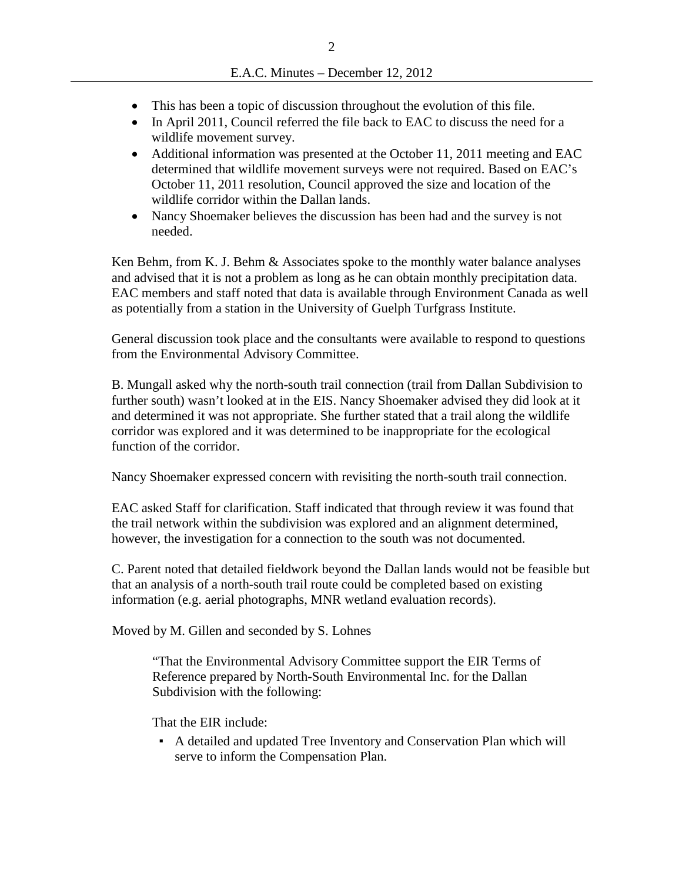- This has been a topic of discussion throughout the evolution of this file.
- In April 2011, Council referred the file back to EAC to discuss the need for a wildlife movement survey.
- Additional information was presented at the October 11, 2011 meeting and EAC determined that wildlife movement surveys were not required. Based on EAC's October 11, 2011 resolution, Council approved the size and location of the wildlife corridor within the Dallan lands.
- Nancy Shoemaker believes the discussion has been had and the survey is not needed.

Ken Behm, from K. J. Behm & Associates spoke to the monthly water balance analyses and advised that it is not a problem as long as he can obtain monthly precipitation data. EAC members and staff noted that data is available through Environment Canada as well as potentially from a station in the University of Guelph Turfgrass Institute.

General discussion took place and the consultants were available to respond to questions from the Environmental Advisory Committee.

B. Mungall asked why the north-south trail connection (trail from Dallan Subdivision to further south) wasn't looked at in the EIS. Nancy Shoemaker advised they did look at it and determined it was not appropriate. She further stated that a trail along the wildlife corridor was explored and it was determined to be inappropriate for the ecological function of the corridor.

Nancy Shoemaker expressed concern with revisiting the north-south trail connection.

EAC asked Staff for clarification. Staff indicated that through review it was found that the trail network within the subdivision was explored and an alignment determined, however, the investigation for a connection to the south was not documented.

C. Parent noted that detailed fieldwork beyond the Dallan lands would not be feasible but that an analysis of a north-south trail route could be completed based on existing information (e.g. aerial photographs, MNR wetland evaluation records).

Moved by M. Gillen and seconded by S. Lohnes

"That the Environmental Advisory Committee support the EIR Terms of Reference prepared by North-South Environmental Inc. for the Dallan Subdivision with the following:

That the EIR include:

▪ A detailed and updated Tree Inventory and Conservation Plan which will serve to inform the Compensation Plan.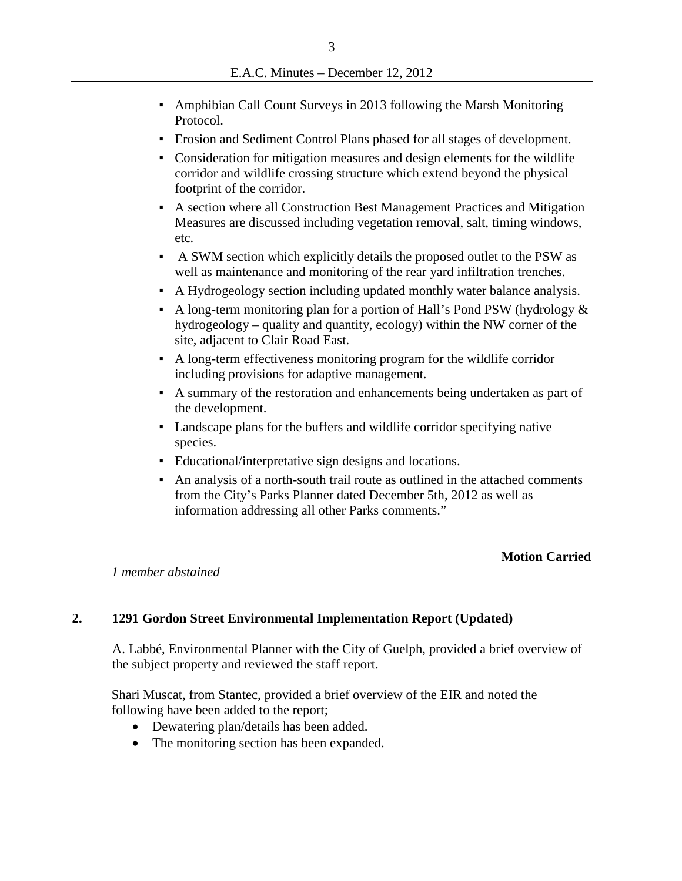- Amphibian Call Count Surveys in 2013 following the Marsh Monitoring Protocol.
- Erosion and Sediment Control Plans phased for all stages of development.
- Consideration for mitigation measures and design elements for the wildlife corridor and wildlife crossing structure which extend beyond the physical footprint of the corridor.
- A section where all Construction Best Management Practices and Mitigation Measures are discussed including vegetation removal, salt, timing windows, etc.
- A SWM section which explicitly details the proposed outlet to the PSW as well as maintenance and monitoring of the rear yard infiltration trenches.
- A Hydrogeology section including updated monthly water balance analysis.
- A long-term monitoring plan for a portion of Hall's Pond PSW (hydrology  $\&$ hydrogeology – quality and quantity, ecology) within the NW corner of the site, adjacent to Clair Road East.
- A long-term effectiveness monitoring program for the wildlife corridor including provisions for adaptive management.
- A summary of the restoration and enhancements being undertaken as part of the development.
- Landscape plans for the buffers and wildlife corridor specifying native species.
- Educational/interpretative sign designs and locations.
- An analysis of a north-south trail route as outlined in the attached comments from the City's Parks Planner dated December 5th, 2012 as well as information addressing all other Parks comments."

## **Motion Carried**

#### *1 member abstained*

## **2. 1291 Gordon Street Environmental Implementation Report (Updated)**

A. Labbé, Environmental Planner with the City of Guelph, provided a brief overview of the subject property and reviewed the staff report.

Shari Muscat, from Stantec, provided a brief overview of the EIR and noted the following have been added to the report;

- Dewatering plan/details has been added.
- The monitoring section has been expanded.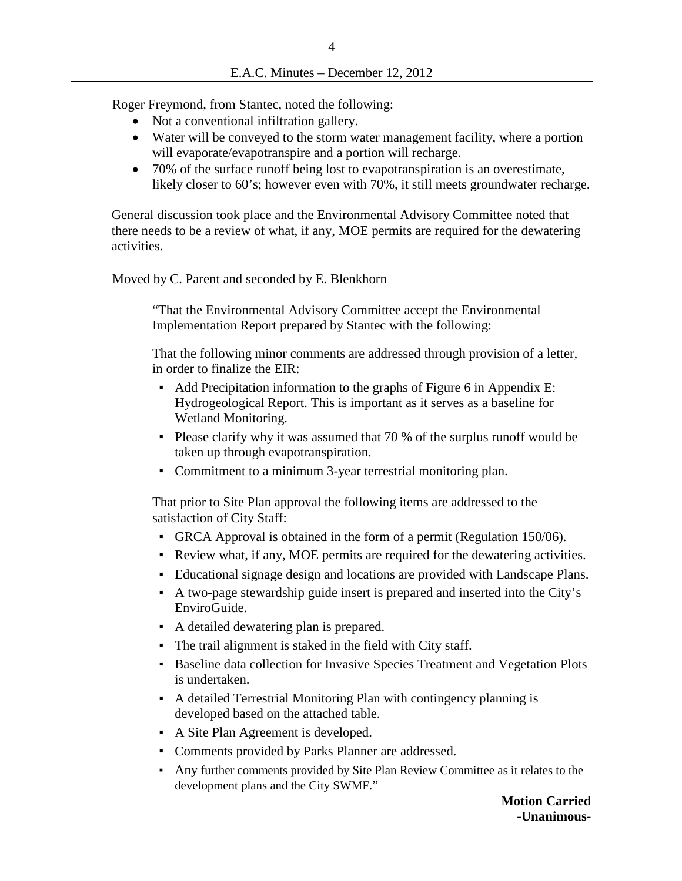Roger Freymond, from Stantec, noted the following:

- Not a conventional infiltration gallery.
- Water will be conveyed to the storm water management facility, where a portion will evaporate/evapotranspire and a portion will recharge.
- 70% of the surface runoff being lost to evapotranspiration is an overestimate, likely closer to 60's; however even with 70%, it still meets groundwater recharge.

General discussion took place and the Environmental Advisory Committee noted that there needs to be a review of what, if any, MOE permits are required for the dewatering activities.

Moved by C. Parent and seconded by E. Blenkhorn

"That the Environmental Advisory Committee accept the Environmental Implementation Report prepared by Stantec with the following:

That the following minor comments are addressed through provision of a letter, in order to finalize the EIR:

- Add Precipitation information to the graphs of Figure 6 in Appendix E: Hydrogeological Report. This is important as it serves as a baseline for Wetland Monitoring.
- Please clarify why it was assumed that 70 % of the surplus runoff would be taken up through evapotranspiration.
- Commitment to a minimum 3-year terrestrial monitoring plan.

That prior to Site Plan approval the following items are addressed to the satisfaction of City Staff:

- GRCA Approval is obtained in the form of a permit (Regulation 150/06).
- Review what, if any, MOE permits are required for the dewatering activities.
- Educational signage design and locations are provided with Landscape Plans.
- A two-page stewardship guide insert is prepared and inserted into the City's EnviroGuide.
- A detailed dewatering plan is prepared.
- The trail alignment is staked in the field with City staff.
- Baseline data collection for Invasive Species Treatment and Vegetation Plots is undertaken.
- A detailed Terrestrial Monitoring Plan with contingency planning is developed based on the attached table.
- A Site Plan Agreement is developed.
- Comments provided by Parks Planner are addressed.
- Any further comments provided by Site Plan Review Committee as it relates to the development plans and the City SWMF."

**Motion Carried -Unanimous-**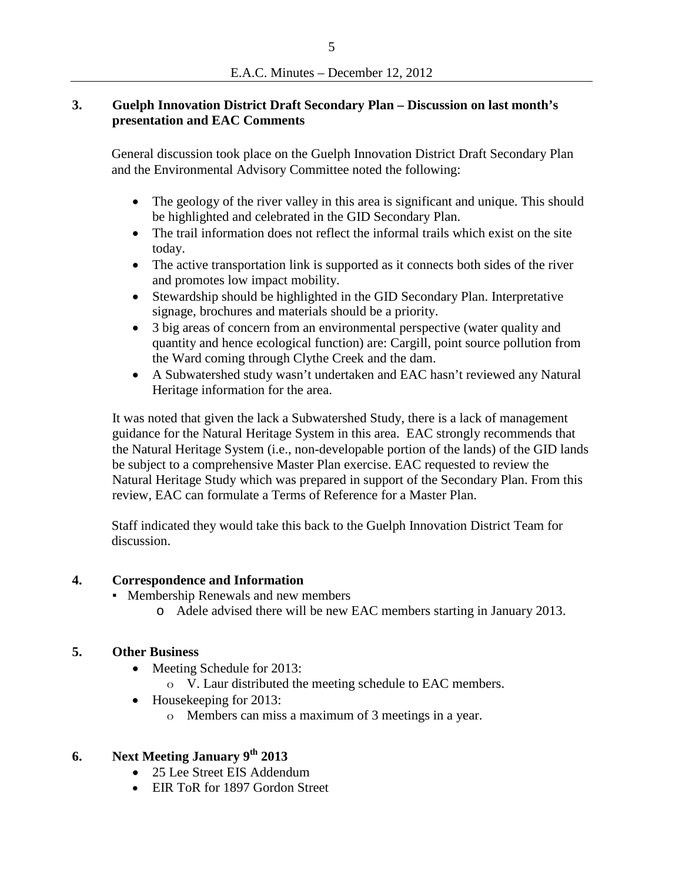## **3. Guelph Innovation District Draft Secondary Plan – Discussion on last month's presentation and EAC Comments**

General discussion took place on the Guelph Innovation District Draft Secondary Plan and the Environmental Advisory Committee noted the following:

- The geology of the river valley in this area is significant and unique. This should be highlighted and celebrated in the GID Secondary Plan.
- The trail information does not reflect the informal trails which exist on the site today.
- The active transportation link is supported as it connects both sides of the river and promotes low impact mobility.
- Stewardship should be highlighted in the GID Secondary Plan. Interpretative signage, brochures and materials should be a priority.
- 3 big areas of concern from an environmental perspective (water quality and quantity and hence ecological function) are: Cargill, point source pollution from the Ward coming through Clythe Creek and the dam.
- A Subwatershed study wasn't undertaken and EAC hasn't reviewed any Natural Heritage information for the area.

It was noted that given the lack a Subwatershed Study, there is a lack of management guidance for the Natural Heritage System in this area. EAC strongly recommends that the Natural Heritage System (i.e., non-developable portion of the lands) of the GID lands be subject to a comprehensive Master Plan exercise. EAC requested to review the Natural Heritage Study which was prepared in support of the Secondary Plan. From this review, EAC can formulate a Terms of Reference for a Master Plan.

Staff indicated they would take this back to the Guelph Innovation District Team for discussion.

## **4. Correspondence and Information**

- **Membership Renewals and new members** 
	- o Adele advised there will be new EAC members starting in January 2013.

## **5. Other Business**

- Meeting Schedule for 2013:
	- o V. Laur distributed the meeting schedule to EAC members.
- Housekeeping for 2013:
	- o Members can miss a maximum of 3 meetings in a year.

## **6. Next Meeting January 9th 2013**

- 25 Lee Street EIS Addendum
- EIR ToR for 1897 Gordon Street